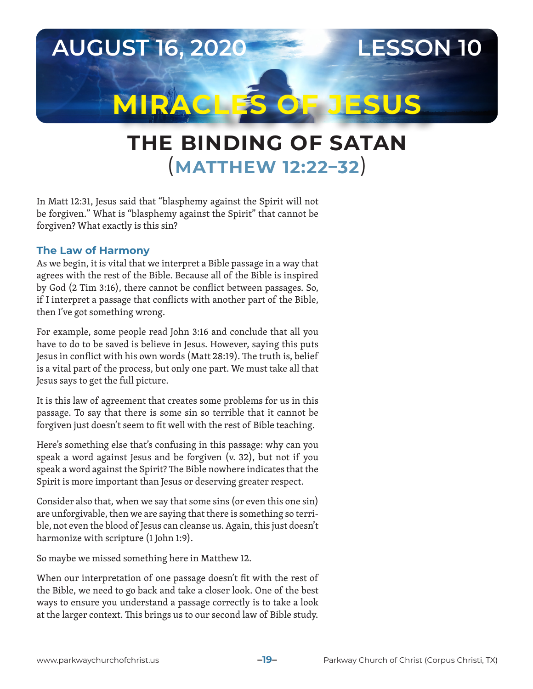

# **THE BINDING OF SATAN**  (**MATTHEW 12:22–32**)

In Matt 12:31, Jesus said that "blasphemy against the Spirit will not be forgiven." What is "blasphemy against the Spirit" that cannot be forgiven? What exactly is this sin?

#### **The Law of Harmony**

As we begin, it is vital that we interpret a Bible passage in a way that agrees with the rest of the Bible. Because all of the Bible is inspired by God (2 Tim 3:16), there cannot be conflict between passages. So, if I interpret a passage that conflicts with another part of the Bible, then I've got something wrong.

For example, some people read John 3:16 and conclude that all you have to do to be saved is believe in Jesus. However, saying this puts Jesus in conflict with his own words (Matt 28:19). The truth is, belief is a vital part of the process, but only one part. We must take all that Jesus says to get the full picture.

It is this law of agreement that creates some problems for us in this passage. To say that there is some sin so terrible that it cannot be forgiven just doesn't seem to fit well with the rest of Bible teaching.

Here's something else that's confusing in this passage: why can you speak a word against Jesus and be forgiven (v. 32), but not if you speak a word against the Spirit? The Bible nowhere indicates that the Spirit is more important than Jesus or deserving greater respect.

Consider also that, when we say that some sins (or even this one sin) are unforgivable, then we are saying that there is something so terrible, not even the blood of Jesus can cleanse us. Again, this just doesn't harmonize with scripture (1 John 1:9).

So maybe we missed something here in Matthew 12.

When our interpretation of one passage doesn't fit with the rest of the Bible, we need to go back and take a closer look. One of the best ways to ensure you understand a passage correctly is to take a look at the larger context. This brings us to our second law of Bible study.